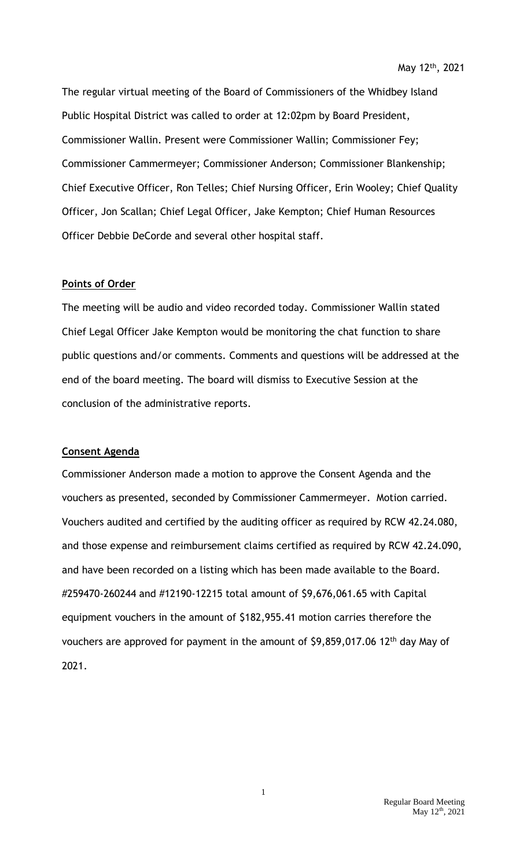The regular virtual meeting of the Board of Commissioners of the Whidbey Island Public Hospital District was called to order at 12:02pm by Board President, Commissioner Wallin. Present were Commissioner Wallin; Commissioner Fey; Commissioner Cammermeyer; Commissioner Anderson; Commissioner Blankenship; Chief Executive Officer, Ron Telles; Chief Nursing Officer, Erin Wooley; Chief Quality Officer, Jon Scallan; Chief Legal Officer, Jake Kempton; Chief Human Resources Officer Debbie DeCorde and several other hospital staff.

## **Points of Order**

The meeting will be audio and video recorded today. Commissioner Wallin stated Chief Legal Officer Jake Kempton would be monitoring the chat function to share public questions and/or comments. Comments and questions will be addressed at the end of the board meeting. The board will dismiss to Executive Session at the conclusion of the administrative reports.

#### **Consent Agenda**

Commissioner Anderson made a motion to approve the Consent Agenda and the vouchers as presented, seconded by Commissioner Cammermeyer. Motion carried. Vouchers audited and certified by the auditing officer as required by RCW 42.24.080, and those expense and reimbursement claims certified as required by RCW 42.24.090, and have been recorded on a listing which has been made available to the Board. #259470-260244 and #12190-12215 total amount of \$9,676,061.65 with Capital equipment vouchers in the amount of \$182,955.41 motion carries therefore the vouchers are approved for payment in the amount of \$9,859,017.06 12<sup>th</sup> day May of 2021.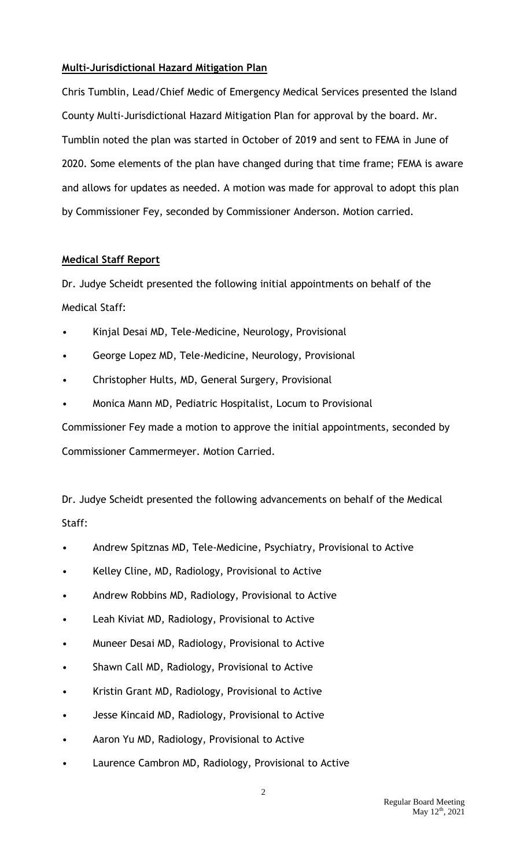# **Multi-Jurisdictional Hazard Mitigation Plan**

Chris Tumblin, Lead/Chief Medic of Emergency Medical Services presented the Island County Multi-Jurisdictional Hazard Mitigation Plan for approval by the board. Mr. Tumblin noted the plan was started in October of 2019 and sent to FEMA in June of 2020. Some elements of the plan have changed during that time frame; FEMA is aware and allows for updates as needed. A motion was made for approval to adopt this plan by Commissioner Fey, seconded by Commissioner Anderson. Motion carried.

## **Medical Staff Report**

Dr. Judye Scheidt presented the following initial appointments on behalf of the Medical Staff:

- Kinjal Desai MD, Tele-Medicine, Neurology, Provisional
- George Lopez MD, Tele-Medicine, Neurology, Provisional
- Christopher Hults, MD, General Surgery, Provisional
- Monica Mann MD, Pediatric Hospitalist, Locum to Provisional

Commissioner Fey made a motion to approve the initial appointments, seconded by Commissioner Cammermeyer. Motion Carried.

Dr. Judye Scheidt presented the following advancements on behalf of the Medical Staff:

- Andrew Spitznas MD, Tele-Medicine, Psychiatry, Provisional to Active
- Kelley Cline, MD, Radiology, Provisional to Active
- Andrew Robbins MD, Radiology, Provisional to Active
- Leah Kiviat MD, Radiology, Provisional to Active
- Muneer Desai MD, Radiology, Provisional to Active
- Shawn Call MD, Radiology, Provisional to Active
- Kristin Grant MD, Radiology, Provisional to Active
- Jesse Kincaid MD, Radiology, Provisional to Active
- Aaron Yu MD, Radiology, Provisional to Active
- Laurence Cambron MD, Radiology, Provisional to Active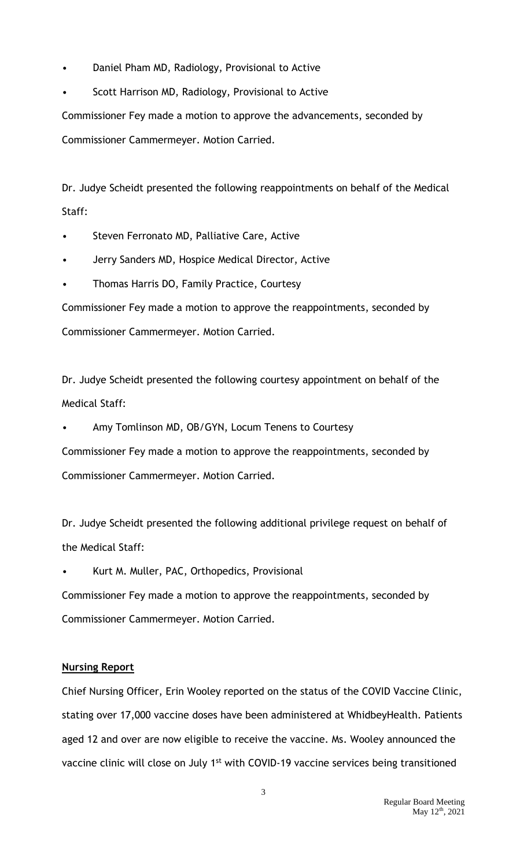- Daniel Pham MD, Radiology, Provisional to Active
- Scott Harrison MD, Radiology, Provisional to Active

Commissioner Fey made a motion to approve the advancements, seconded by Commissioner Cammermeyer. Motion Carried.

Dr. Judye Scheidt presented the following reappointments on behalf of the Medical Staff:

- Steven Ferronato MD, Palliative Care, Active
- Jerry Sanders MD, Hospice Medical Director, Active
- Thomas Harris DO, Family Practice, Courtesy

Commissioner Fey made a motion to approve the reappointments, seconded by Commissioner Cammermeyer. Motion Carried.

Dr. Judye Scheidt presented the following courtesy appointment on behalf of the Medical Staff:

• Amy Tomlinson MD, OB/GYN, Locum Tenens to Courtesy

Commissioner Fey made a motion to approve the reappointments, seconded by Commissioner Cammermeyer. Motion Carried.

Dr. Judye Scheidt presented the following additional privilege request on behalf of the Medical Staff:

• Kurt M. Muller, PAC, Orthopedics, Provisional

Commissioner Fey made a motion to approve the reappointments, seconded by Commissioner Cammermeyer. Motion Carried.

## **Nursing Report**

Chief Nursing Officer, Erin Wooley reported on the status of the COVID Vaccine Clinic, stating over 17,000 vaccine doses have been administered at WhidbeyHealth. Patients aged 12 and over are now eligible to receive the vaccine. Ms. Wooley announced the vaccine clinic will close on July 1<sup>st</sup> with COVID-19 vaccine services being transitioned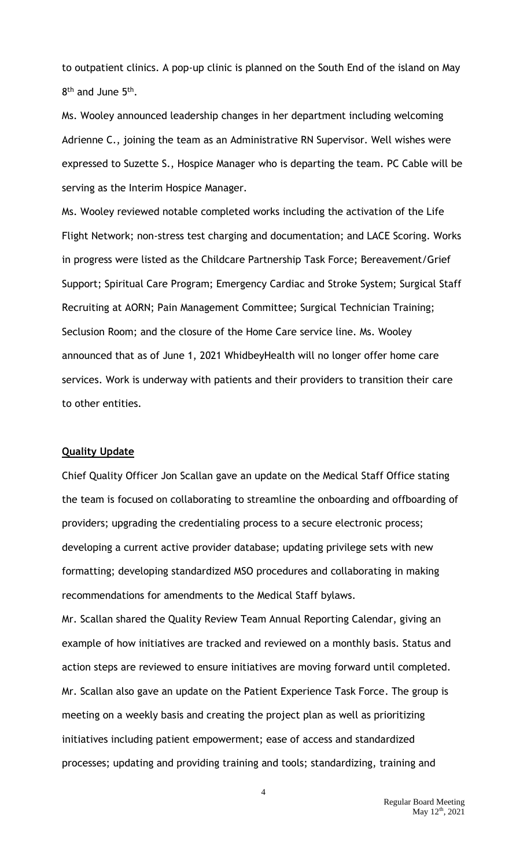to outpatient clinics. A pop-up clinic is planned on the South End of the island on May 8<sup>th</sup> and June 5<sup>th</sup>.

Ms. Wooley announced leadership changes in her department including welcoming Adrienne C., joining the team as an Administrative RN Supervisor. Well wishes were expressed to Suzette S., Hospice Manager who is departing the team. PC Cable will be serving as the Interim Hospice Manager.

Ms. Wooley reviewed notable completed works including the activation of the Life Flight Network; non-stress test charging and documentation; and LACE Scoring. Works in progress were listed as the Childcare Partnership Task Force; Bereavement/Grief Support; Spiritual Care Program; Emergency Cardiac and Stroke System; Surgical Staff Recruiting at AORN; Pain Management Committee; Surgical Technician Training; Seclusion Room; and the closure of the Home Care service line. Ms. Wooley announced that as of June 1, 2021 WhidbeyHealth will no longer offer home care services. Work is underway with patients and their providers to transition their care to other entities.

### **Quality Update**

Chief Quality Officer Jon Scallan gave an update on the Medical Staff Office stating the team is focused on collaborating to streamline the onboarding and offboarding of providers; upgrading the credentialing process to a secure electronic process; developing a current active provider database; updating privilege sets with new formatting; developing standardized MSO procedures and collaborating in making recommendations for amendments to the Medical Staff bylaws.

Mr. Scallan shared the Quality Review Team Annual Reporting Calendar, giving an example of how initiatives are tracked and reviewed on a monthly basis. Status and action steps are reviewed to ensure initiatives are moving forward until completed. Mr. Scallan also gave an update on the Patient Experience Task Force. The group is meeting on a weekly basis and creating the project plan as well as prioritizing initiatives including patient empowerment; ease of access and standardized processes; updating and providing training and tools; standardizing, training and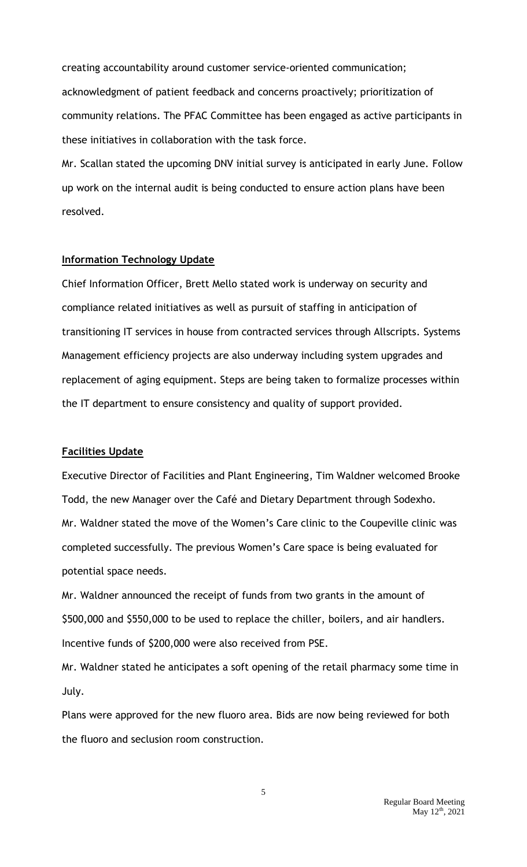creating accountability around customer service-oriented communication; acknowledgment of patient feedback and concerns proactively; prioritization of community relations. The PFAC Committee has been engaged as active participants in these initiatives in collaboration with the task force.

Mr. Scallan stated the upcoming DNV initial survey is anticipated in early June. Follow up work on the internal audit is being conducted to ensure action plans have been resolved.

#### **Information Technology Update**

Chief Information Officer, Brett Mello stated work is underway on security and compliance related initiatives as well as pursuit of staffing in anticipation of transitioning IT services in house from contracted services through Allscripts. Systems Management efficiency projects are also underway including system upgrades and replacement of aging equipment. Steps are being taken to formalize processes within the IT department to ensure consistency and quality of support provided.

### **Facilities Update**

Executive Director of Facilities and Plant Engineering, Tim Waldner welcomed Brooke Todd, the new Manager over the Café and Dietary Department through Sodexho. Mr. Waldner stated the move of the Women's Care clinic to the Coupeville clinic was completed successfully. The previous Women's Care space is being evaluated for potential space needs.

Mr. Waldner announced the receipt of funds from two grants in the amount of \$500,000 and \$550,000 to be used to replace the chiller, boilers, and air handlers. Incentive funds of \$200,000 were also received from PSE.

Mr. Waldner stated he anticipates a soft opening of the retail pharmacy some time in July.

Plans were approved for the new fluoro area. Bids are now being reviewed for both the fluoro and seclusion room construction.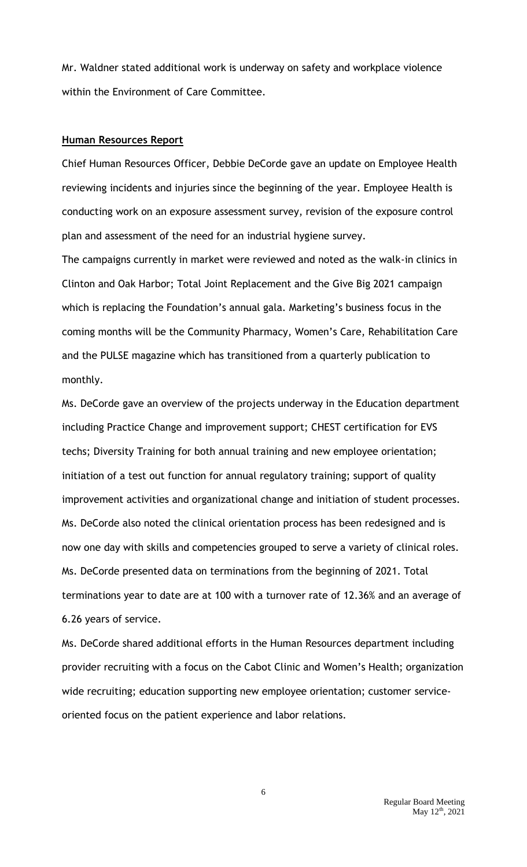Mr. Waldner stated additional work is underway on safety and workplace violence within the Environment of Care Committee.

#### **Human Resources Report**

Chief Human Resources Officer, Debbie DeCorde gave an update on Employee Health reviewing incidents and injuries since the beginning of the year. Employee Health is conducting work on an exposure assessment survey, revision of the exposure control plan and assessment of the need for an industrial hygiene survey.

The campaigns currently in market were reviewed and noted as the walk-in clinics in Clinton and Oak Harbor; Total Joint Replacement and the Give Big 2021 campaign which is replacing the Foundation's annual gala. Marketing's business focus in the coming months will be the Community Pharmacy, Women's Care, Rehabilitation Care and the PULSE magazine which has transitioned from a quarterly publication to monthly.

Ms. DeCorde gave an overview of the projects underway in the Education department including Practice Change and improvement support; CHEST certification for EVS techs; Diversity Training for both annual training and new employee orientation; initiation of a test out function for annual regulatory training; support of quality improvement activities and organizational change and initiation of student processes. Ms. DeCorde also noted the clinical orientation process has been redesigned and is now one day with skills and competencies grouped to serve a variety of clinical roles. Ms. DeCorde presented data on terminations from the beginning of 2021. Total terminations year to date are at 100 with a turnover rate of 12.36% and an average of 6.26 years of service.

Ms. DeCorde shared additional efforts in the Human Resources department including provider recruiting with a focus on the Cabot Clinic and Women's Health; organization wide recruiting; education supporting new employee orientation; customer serviceoriented focus on the patient experience and labor relations.

6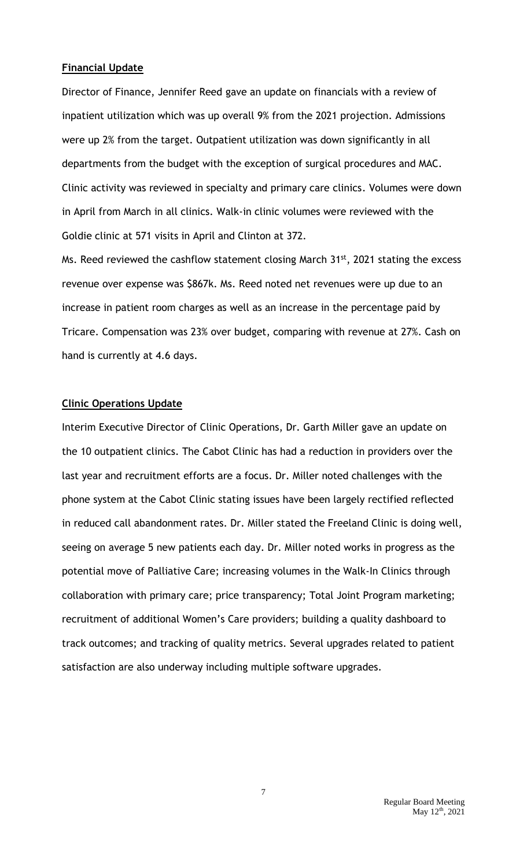#### **Financial Update**

Director of Finance, Jennifer Reed gave an update on financials with a review of inpatient utilization which was up overall 9% from the 2021 projection. Admissions were up 2% from the target. Outpatient utilization was down significantly in all departments from the budget with the exception of surgical procedures and MAC. Clinic activity was reviewed in specialty and primary care clinics. Volumes were down in April from March in all clinics. Walk-in clinic volumes were reviewed with the Goldie clinic at 571 visits in April and Clinton at 372.

Ms. Reed reviewed the cashflow statement closing March 31<sup>st</sup>, 2021 stating the excess revenue over expense was \$867k. Ms. Reed noted net revenues were up due to an increase in patient room charges as well as an increase in the percentage paid by Tricare. Compensation was 23% over budget, comparing with revenue at 27%. Cash on hand is currently at 4.6 days.

#### **Clinic Operations Update**

Interim Executive Director of Clinic Operations, Dr. Garth Miller gave an update on the 10 outpatient clinics. The Cabot Clinic has had a reduction in providers over the last year and recruitment efforts are a focus. Dr. Miller noted challenges with the phone system at the Cabot Clinic stating issues have been largely rectified reflected in reduced call abandonment rates. Dr. Miller stated the Freeland Clinic is doing well, seeing on average 5 new patients each day. Dr. Miller noted works in progress as the potential move of Palliative Care; increasing volumes in the Walk-In Clinics through collaboration with primary care; price transparency; Total Joint Program marketing; recruitment of additional Women's Care providers; building a quality dashboard to track outcomes; and tracking of quality metrics. Several upgrades related to patient satisfaction are also underway including multiple software upgrades.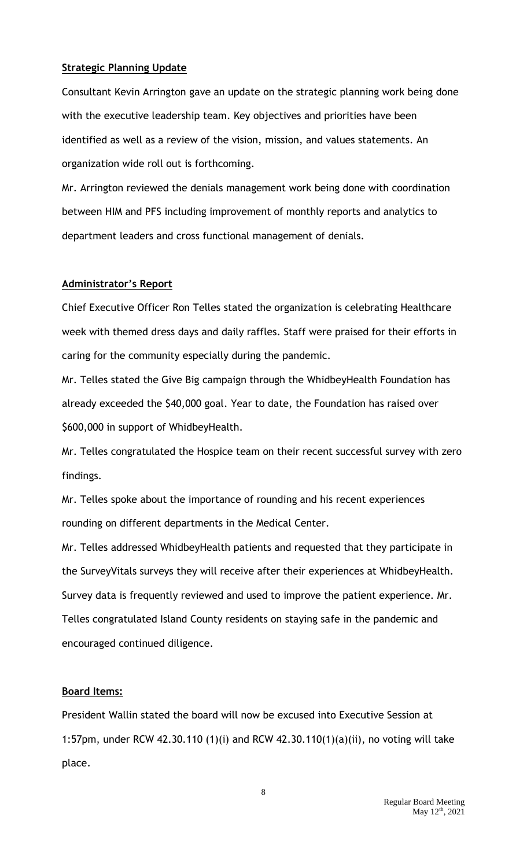## **Strategic Planning Update**

Consultant Kevin Arrington gave an update on the strategic planning work being done with the executive leadership team. Key objectives and priorities have been identified as well as a review of the vision, mission, and values statements. An organization wide roll out is forthcoming.

Mr. Arrington reviewed the denials management work being done with coordination between HIM and PFS including improvement of monthly reports and analytics to department leaders and cross functional management of denials.

## **Administrator's Report**

Chief Executive Officer Ron Telles stated the organization is celebrating Healthcare week with themed dress days and daily raffles. Staff were praised for their efforts in caring for the community especially during the pandemic.

Mr. Telles stated the Give Big campaign through the WhidbeyHealth Foundation has already exceeded the \$40,000 goal. Year to date, the Foundation has raised over \$600,000 in support of WhidbeyHealth.

Mr. Telles congratulated the Hospice team on their recent successful survey with zero findings.

Mr. Telles spoke about the importance of rounding and his recent experiences rounding on different departments in the Medical Center.

Mr. Telles addressed WhidbeyHealth patients and requested that they participate in the SurveyVitals surveys they will receive after their experiences at WhidbeyHealth. Survey data is frequently reviewed and used to improve the patient experience. Mr. Telles congratulated Island County residents on staying safe in the pandemic and encouraged continued diligence.

## **Board Items:**

President Wallin stated the board will now be excused into Executive Session at 1:57pm, under RCW 42.30.110 (1)(i) and RCW 42.30.110(1)(a)(ii), no voting will take place.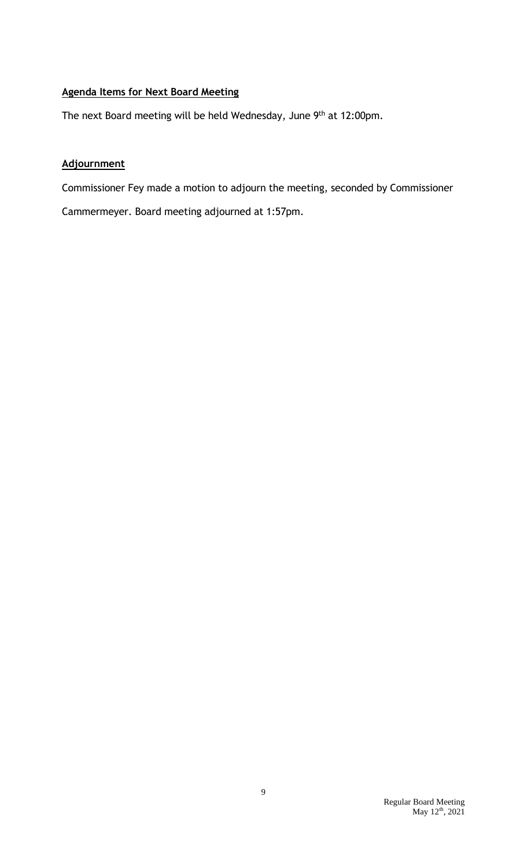# **Agenda Items for Next Board Meeting**

The next Board meeting will be held Wednesday, June 9<sup>th</sup> at 12:00pm.

# **Adjournment**

Commissioner Fey made a motion to adjourn the meeting, seconded by Commissioner

Cammermeyer. Board meeting adjourned at 1:57pm.